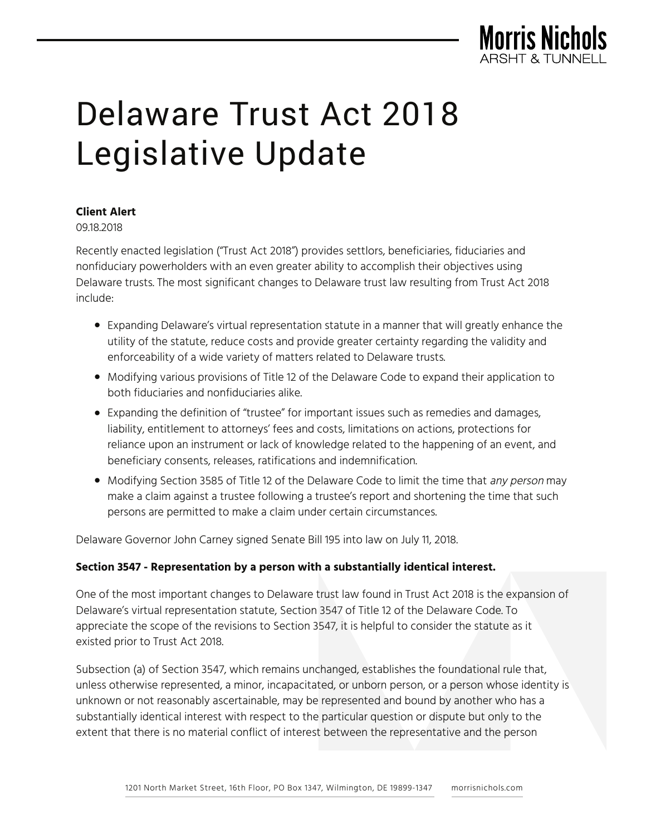

## **Client Alert**

09.18.2018

Recently enacted legislation ("Trust Act 2018") provides settlors, beneficiaries, fiduciaries and nonfiduciary powerholders with an even greater ability to accomplish their objectives using Delaware trusts. The most significant changes to Delaware trust law resulting from Trust Act 2018 include:

- Expanding Delaware's virtual representation statute in a manner that will greatly enhance the utility of the statute, reduce costs and provide greater certainty regarding the validity and enforceability of a wide variety of matters related to Delaware trusts.
- Modifying various provisions of Title 12 of the Delaware Code to expand their application to both fiduciaries and nonfiduciaries alike.
- Expanding the definition of "trustee" for important issues such as remedies and damages, liability, entitlement to attorneys' fees and costs, limitations on actions, protections for reliance upon an instrument or lack of knowledge related to the happening of an event, and beneficiary consents, releases, ratifications and indemnification.
- Modifying Section 3585 of Title 12 of the Delaware Code to limit the time that any person may make a claim against a trustee following a trustee's report and shortening the time that such persons are permitted to make a claim under certain circumstances.

Delaware Governor John Carney signed Senate Bill 195 into law on July 11, 2018.

### **Section 3547 - Representation by a person with a substantially identical interest.**

One of the most important changes to Delaware trust law found in Trust Act 2018 is the expansion of Delaware's virtual representation statute, Section 3547 of Title 12 of the Delaware Code. To appreciate the scope of the revisions to Section 3547, it is helpful to consider the statute as it existed prior to Trust Act 2018.

Subsection (a) of Section 3547, which remains unchanged, establishes the foundational rule that, unless otherwise represented, a minor, incapacitated, or unborn person, or a person whose identity is unknown or not reasonably ascertainable, may be represented and bound by another who has a substantially identical interest with respect to the particular question or dispute but only to the extent that there is no material conflict of interest between the representative and the person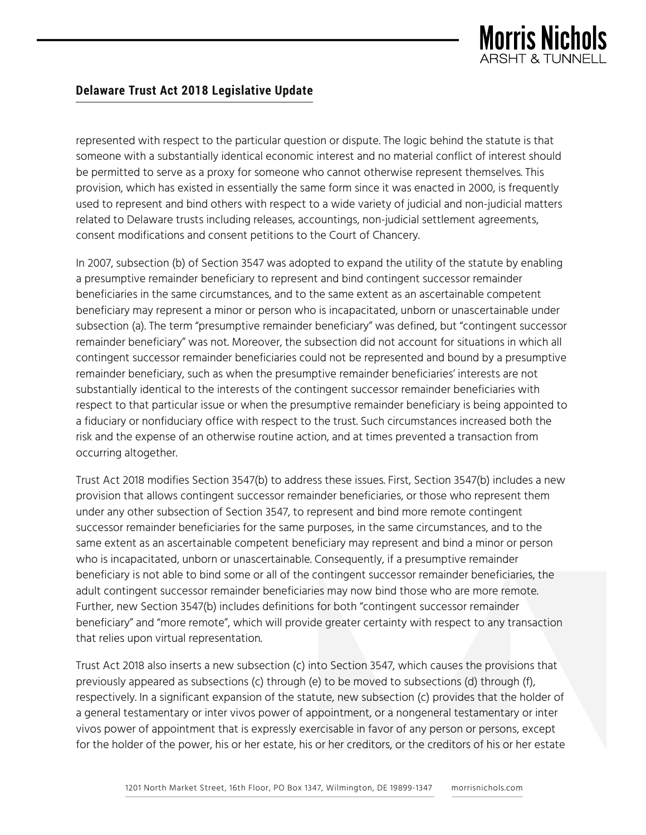

represented with respect to the particular question or dispute. The logic behind the statute is that someone with a substantially identical economic interest and no material conflict of interest should be permitted to serve as a proxy for someone who cannot otherwise represent themselves. This provision, which has existed in essentially the same form since it was enacted in 2000, is frequently used to represent and bind others with respect to a wide variety of judicial and non-judicial matters related to Delaware trusts including releases, accountings, non-judicial settlement agreements, consent modifications and consent petitions to the Court of Chancery.

In 2007, subsection (b) of Section 3547 was adopted to expand the utility of the statute by enabling a presumptive remainder beneficiary to represent and bind contingent successor remainder beneficiaries in the same circumstances, and to the same extent as an ascertainable competent beneficiary may represent a minor or person who is incapacitated, unborn or unascertainable under subsection (a). The term "presumptive remainder beneficiary" was defined, but "contingent successor remainder beneficiary" was not. Moreover, the subsection did not account for situations in which all contingent successor remainder beneficiaries could not be represented and bound by a presumptive remainder beneficiary, such as when the presumptive remainder beneficiaries' interests are not substantially identical to the interests of the contingent successor remainder beneficiaries with respect to that particular issue or when the presumptive remainder beneficiary is being appointed to a fiduciary or nonfiduciary office with respect to the trust. Such circumstances increased both the risk and the expense of an otherwise routine action, and at times prevented a transaction from occurring altogether.

Trust Act 2018 modifies Section 3547(b) to address these issues. First, Section 3547(b) includes a new provision that allows contingent successor remainder beneficiaries, or those who represent them under any other subsection of Section 3547, to represent and bind more remote contingent successor remainder beneficiaries for the same purposes, in the same circumstances, and to the same extent as an ascertainable competent beneficiary may represent and bind a minor or person who is incapacitated, unborn or unascertainable. Consequently, if a presumptive remainder beneficiary is not able to bind some or all of the contingent successor remainder beneficiaries, the adult contingent successor remainder beneficiaries may now bind those who are more remote. Further, new Section 3547(b) includes definitions for both "contingent successor remainder beneficiary" and "more remote", which will provide greater certainty with respect to any transaction that relies upon virtual representation.

Trust Act 2018 also inserts a new subsection (c) into Section 3547, which causes the provisions that previously appeared as subsections (c) through (e) to be moved to subsections (d) through (f), respectively. In a significant expansion of the statute, new subsection (c) provides that the holder of a general testamentary or inter vivos power of appointment, or a nongeneral testamentary or inter vivos power of appointment that is expressly exercisable in favor of any person or persons, except for the holder of the power, his or her estate, his or her creditors, or the creditors of his or her estate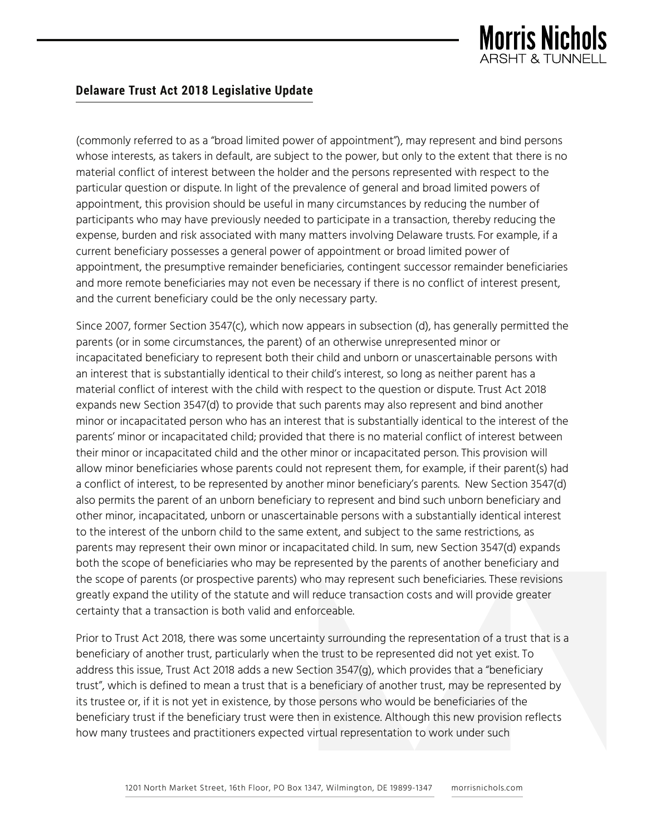

(commonly referred to as a "broad limited power of appointment"), may represent and bind persons whose interests, as takers in default, are subject to the power, but only to the extent that there is no material conflict of interest between the holder and the persons represented with respect to the particular question or dispute. In light of the prevalence of general and broad limited powers of appointment, this provision should be useful in many circumstances by reducing the number of participants who may have previously needed to participate in a transaction, thereby reducing the expense, burden and risk associated with many matters involving Delaware trusts. For example, if a current beneficiary possesses a general power of appointment or broad limited power of appointment, the presumptive remainder beneficiaries, contingent successor remainder beneficiaries and more remote beneficiaries may not even be necessary if there is no conflict of interest present, and the current beneficiary could be the only necessary party.

Since 2007, former Section 3547(c), which now appears in subsection (d), has generally permitted the parents (or in some circumstances, the parent) of an otherwise unrepresented minor or incapacitated beneficiary to represent both their child and unborn or unascertainable persons with an interest that is substantially identical to their child's interest, so long as neither parent has a material conflict of interest with the child with respect to the question or dispute. Trust Act 2018 expands new Section 3547(d) to provide that such parents may also represent and bind another minor or incapacitated person who has an interest that is substantially identical to the interest of the parents' minor or incapacitated child; provided that there is no material conflict of interest between their minor or incapacitated child and the other minor or incapacitated person. This provision will allow minor beneficiaries whose parents could not represent them, for example, if their parent(s) had a conflict of interest, to be represented by another minor beneficiary's parents. New Section 3547(d) also permits the parent of an unborn beneficiary to represent and bind such unborn beneficiary and other minor, incapacitated, unborn or unascertainable persons with a substantially identical interest to the interest of the unborn child to the same extent, and subject to the same restrictions, as parents may represent their own minor or incapacitated child. In sum, new Section 3547(d) expands both the scope of beneficiaries who may be represented by the parents of another beneficiary and the scope of parents (or prospective parents) who may represent such beneficiaries. These revisions greatly expand the utility of the statute and will reduce transaction costs and will provide greater certainty that a transaction is both valid and enforceable.

Prior to Trust Act 2018, there was some uncertainty surrounding the representation of a trust that is a beneficiary of another trust, particularly when the trust to be represented did not yet exist. To address this issue, Trust Act 2018 adds a new Section 3547(g), which provides that a "beneficiary trust", which is defined to mean a trust that is a beneficiary of another trust, may be represented by its trustee or, if it is not yet in existence, by those persons who would be beneficiaries of the beneficiary trust if the beneficiary trust were then in existence. Although this new provision reflects how many trustees and practitioners expected virtual representation to work under such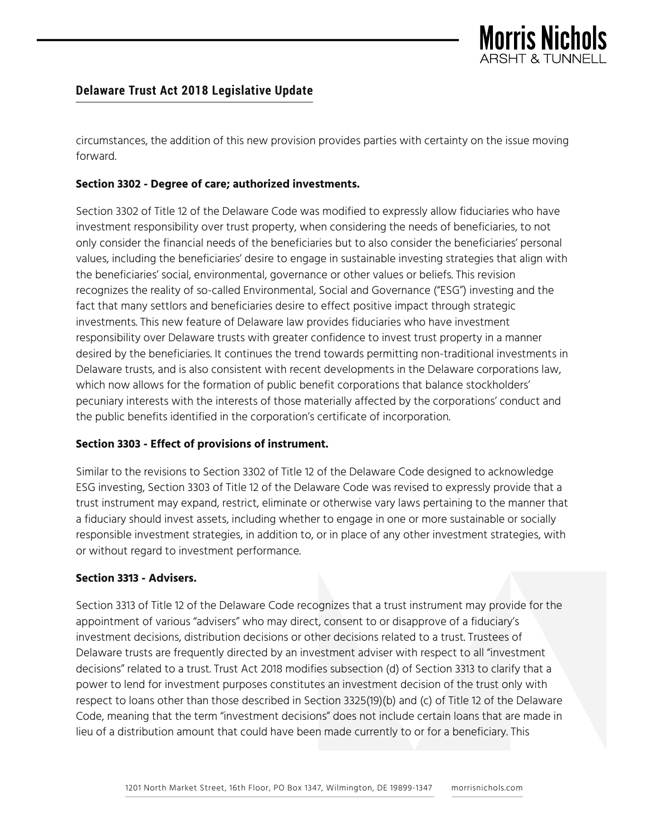

circumstances, the addition of this new provision provides parties with certainty on the issue moving forward.

## **Section 3302 - Degree of care; authorized investments.**

Section 3302 of Title 12 of the Delaware Code was modified to expressly allow fiduciaries who have investment responsibility over trust property, when considering the needs of beneficiaries, to not only consider the financial needs of the beneficiaries but to also consider the beneficiaries' personal values, including the beneficiaries' desire to engage in sustainable investing strategies that align with the beneficiaries' social, environmental, governance or other values or beliefs. This revision recognizes the reality of so-called Environmental, Social and Governance ("ESG") investing and the fact that many settlors and beneficiaries desire to effect positive impact through strategic investments. This new feature of Delaware law provides fiduciaries who have investment responsibility over Delaware trusts with greater confidence to invest trust property in a manner desired by the beneficiaries. It continues the trend towards permitting non-traditional investments in Delaware trusts, and is also consistent with recent developments in the Delaware corporations law, which now allows for the formation of public benefit corporations that balance stockholders' pecuniary interests with the interests of those materially affected by the corporations' conduct and the public benefits identified in the corporation's certificate of incorporation.

### **Section 3303 - Effect of provisions of instrument.**

Similar to the revisions to Section 3302 of Title 12 of the Delaware Code designed to acknowledge ESG investing, Section 3303 of Title 12 of the Delaware Code was revised to expressly provide that a trust instrument may expand, restrict, eliminate or otherwise vary laws pertaining to the manner that a fiduciary should invest assets, including whether to engage in one or more sustainable or socially responsible investment strategies, in addition to, or in place of any other investment strategies, with or without regard to investment performance.

### **Section 3313 - Advisers.**

Section 3313 of Title 12 of the Delaware Code recognizes that a trust instrument may provide for the appointment of various "advisers" who may direct, consent to or disapprove of a fiduciary's investment decisions, distribution decisions or other decisions related to a trust. Trustees of Delaware trusts are frequently directed by an investment adviser with respect to all "investment decisions" related to a trust. Trust Act 2018 modifies subsection (d) of Section 3313 to clarify that a power to lend for investment purposes constitutes an investment decision of the trust only with respect to loans other than those described in Section 3325(19)(b) and (c) of Title 12 of the Delaware Code, meaning that the term "investment decisions" does not include certain loans that are made in lieu of a distribution amount that could have been made currently to or for a beneficiary. This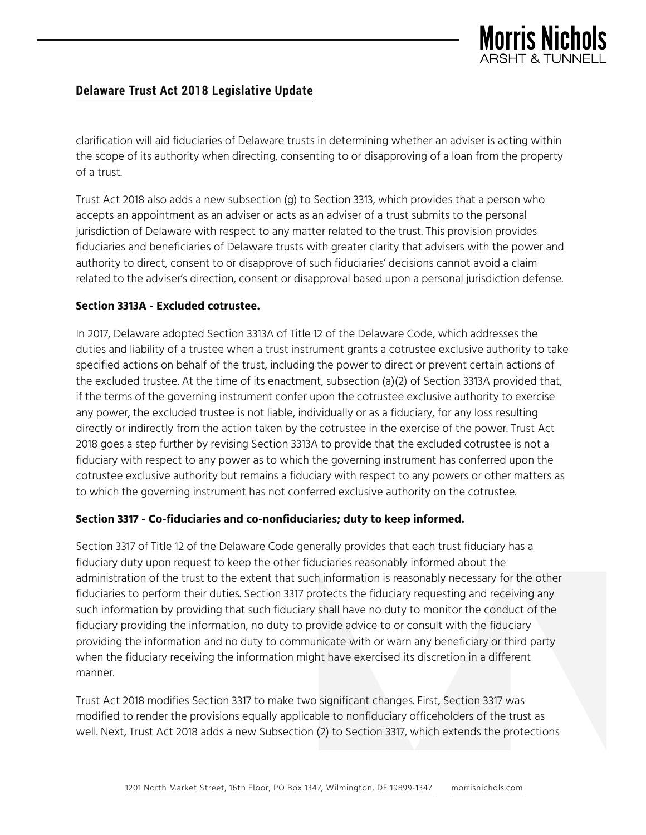

clarification will aid fiduciaries of Delaware trusts in determining whether an adviser is acting within the scope of its authority when directing, consenting to or disapproving of a loan from the property of a trust.

Trust Act 2018 also adds a new subsection (g) to Section 3313, which provides that a person who accepts an appointment as an adviser or acts as an adviser of a trust submits to the personal jurisdiction of Delaware with respect to any matter related to the trust. This provision provides fiduciaries and beneficiaries of Delaware trusts with greater clarity that advisers with the power and authority to direct, consent to or disapprove of such fiduciaries' decisions cannot avoid a claim related to the adviser's direction, consent or disapproval based upon a personal jurisdiction defense.

### **Section 3313A - Excluded cotrustee.**

In 2017, Delaware adopted Section 3313A of Title 12 of the Delaware Code, which addresses the duties and liability of a trustee when a trust instrument grants a cotrustee exclusive authority to take specified actions on behalf of the trust, including the power to direct or prevent certain actions of the excluded trustee. At the time of its enactment, subsection (a)(2) of Section 3313A provided that, if the terms of the governing instrument confer upon the cotrustee exclusive authority to exercise any power, the excluded trustee is not liable, individually or as a fiduciary, for any loss resulting directly or indirectly from the action taken by the cotrustee in the exercise of the power. Trust Act 2018 goes a step further by revising Section 3313A to provide that the excluded cotrustee is not a fiduciary with respect to any power as to which the governing instrument has conferred upon the cotrustee exclusive authority but remains a fiduciary with respect to any powers or other matters as to which the governing instrument has not conferred exclusive authority on the cotrustee.

### **Section 3317 - Co-fiduciaries and co-nonfiduciaries; duty to keep informed.**

Section 3317 of Title 12 of the Delaware Code generally provides that each trust fiduciary has a fiduciary duty upon request to keep the other fiduciaries reasonably informed about the administration of the trust to the extent that such information is reasonably necessary for the other fiduciaries to perform their duties. Section 3317 protects the fiduciary requesting and receiving any such information by providing that such fiduciary shall have no duty to monitor the conduct of the fiduciary providing the information, no duty to provide advice to or consult with the fiduciary providing the information and no duty to communicate with or warn any beneficiary or third party when the fiduciary receiving the information might have exercised its discretion in a different manner.

Trust Act 2018 modifies Section 3317 to make two significant changes. First, Section 3317 was modified to render the provisions equally applicable to nonfiduciary officeholders of the trust as well. Next, Trust Act 2018 adds a new Subsection (2) to Section 3317, which extends the protections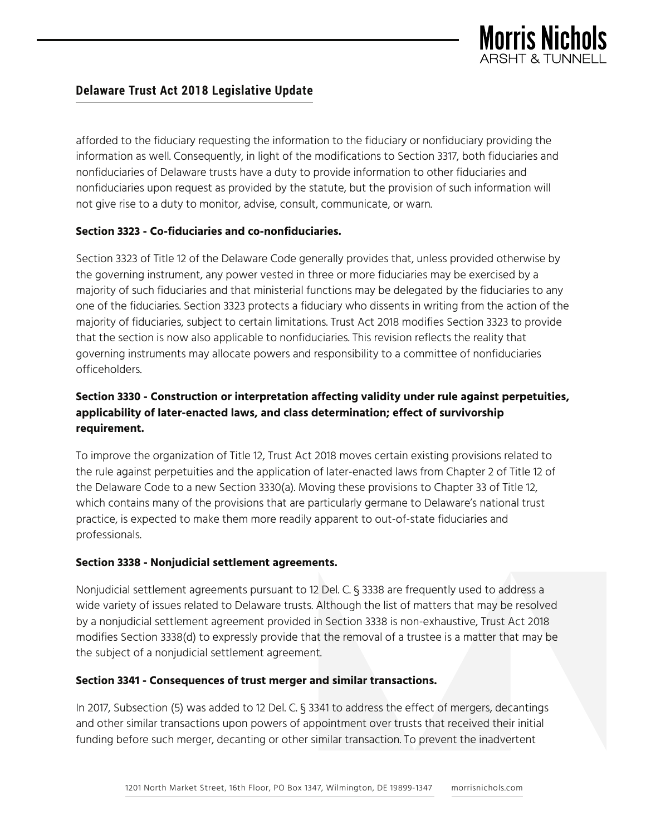

afforded to the fiduciary requesting the information to the fiduciary or nonfiduciary providing the information as well. Consequently, in light of the modifications to Section 3317, both fiduciaries and nonfiduciaries of Delaware trusts have a duty to provide information to other fiduciaries and nonfiduciaries upon request as provided by the statute, but the provision of such information will not give rise to a duty to monitor, advise, consult, communicate, or warn.

### **Section 3323 - Co-fiduciaries and co-nonfiduciaries.**

Section 3323 of Title 12 of the Delaware Code generally provides that, unless provided otherwise by the governing instrument, any power vested in three or more fiduciaries may be exercised by a majority of such fiduciaries and that ministerial functions may be delegated by the fiduciaries to any one of the fiduciaries. Section 3323 protects a fiduciary who dissents in writing from the action of the majority of fiduciaries, subject to certain limitations. Trust Act 2018 modifies Section 3323 to provide that the section is now also applicable to nonfiduciaries. This revision reflects the reality that governing instruments may allocate powers and responsibility to a committee of nonfiduciaries officeholders.

# **Section 3330 - Construction or interpretation affecting validity under rule against perpetuities, applicability of later-enacted laws, and class determination; effect of survivorship requirement.**

To improve the organization of Title 12, Trust Act 2018 moves certain existing provisions related to the rule against perpetuities and the application of later-enacted laws from Chapter 2 of Title 12 of the Delaware Code to a new Section 3330(a). Moving these provisions to Chapter 33 of Title 12, which contains many of the provisions that are particularly germane to Delaware's national trust practice, is expected to make them more readily apparent to out-of-state fiduciaries and professionals.

### **Section 3338 - Nonjudicial settlement agreements.**

Nonjudicial settlement agreements pursuant to 12 Del. C. § 3338 are frequently used to address a wide variety of issues related to Delaware trusts. Although the list of matters that may be resolved by a nonjudicial settlement agreement provided in Section 3338 is non-exhaustive, Trust Act 2018 modifies Section 3338(d) to expressly provide that the removal of a trustee is a matter that may be the subject of a nonjudicial settlement agreement.

### **Section 3341 - Consequences of trust merger and similar transactions.**

In 2017, Subsection (5) was added to 12 Del. C. § 3341 to address the effect of mergers, decantings and other similar transactions upon powers of appointment over trusts that received their initial funding before such merger, decanting or other similar transaction. To prevent the inadvertent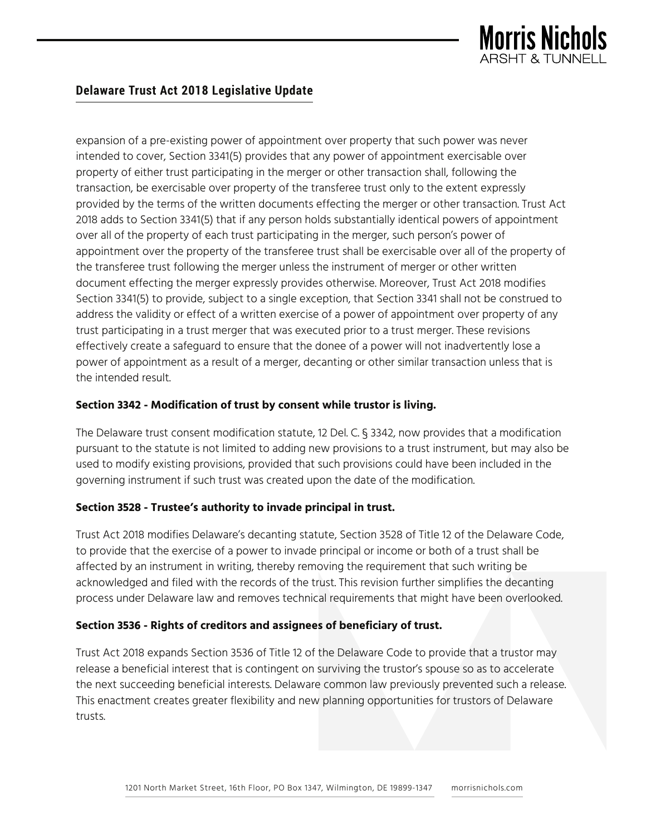

expansion of a pre-existing power of appointment over property that such power was never intended to cover, Section 3341(5) provides that any power of appointment exercisable over property of either trust participating in the merger or other transaction shall, following the transaction, be exercisable over property of the transferee trust only to the extent expressly provided by the terms of the written documents effecting the merger or other transaction. Trust Act 2018 adds to Section 3341(5) that if any person holds substantially identical powers of appointment over all of the property of each trust participating in the merger, such person's power of appointment over the property of the transferee trust shall be exercisable over all of the property of the transferee trust following the merger unless the instrument of merger or other written document effecting the merger expressly provides otherwise. Moreover, Trust Act 2018 modifies Section 3341(5) to provide, subject to a single exception, that Section 3341 shall not be construed to address the validity or effect of a written exercise of a power of appointment over property of any trust participating in a trust merger that was executed prior to a trust merger. These revisions effectively create a safeguard to ensure that the donee of a power will not inadvertently lose a power of appointment as a result of a merger, decanting or other similar transaction unless that is the intended result.

## **Section 3342 - Modification of trust by consent while trustor is living.**

The Delaware trust consent modification statute, 12 Del. C. § 3342, now provides that a modification pursuant to the statute is not limited to adding new provisions to a trust instrument, but may also be used to modify existing provisions, provided that such provisions could have been included in the governing instrument if such trust was created upon the date of the modification.

### **Section 3528 - Trustee's authority to invade principal in trust.**

Trust Act 2018 modifies Delaware's decanting statute, Section 3528 of Title 12 of the Delaware Code, to provide that the exercise of a power to invade principal or income or both of a trust shall be affected by an instrument in writing, thereby removing the requirement that such writing be acknowledged and filed with the records of the trust. This revision further simplifies the decanting process under Delaware law and removes technical requirements that might have been overlooked.

## **Section 3536 - Rights of creditors and assignees of beneficiary of trust.**

Trust Act 2018 expands Section 3536 of Title 12 of the Delaware Code to provide that a trustor may release a beneficial interest that is contingent on surviving the trustor's spouse so as to accelerate the next succeeding beneficial interests. Delaware common law previously prevented such a release. This enactment creates greater flexibility and new planning opportunities for trustors of Delaware trusts.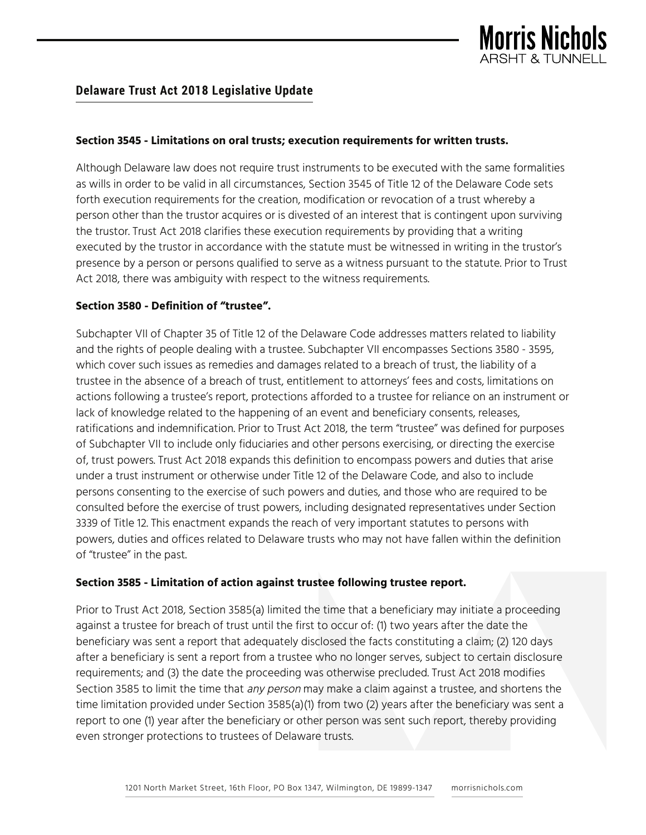

#### **Section 3545 - Limitations on oral trusts; execution requirements for written trusts.**

Although Delaware law does not require trust instruments to be executed with the same formalities as wills in order to be valid in all circumstances, Section 3545 of Title 12 of the Delaware Code sets forth execution requirements for the creation, modification or revocation of a trust whereby a person other than the trustor acquires or is divested of an interest that is contingent upon surviving the trustor. Trust Act 2018 clarifies these execution requirements by providing that a writing executed by the trustor in accordance with the statute must be witnessed in writing in the trustor's presence by a person or persons qualified to serve as a witness pursuant to the statute. Prior to Trust Act 2018, there was ambiguity with respect to the witness requirements.

#### **Section 3580 - Definition of "trustee".**

Subchapter VII of Chapter 35 of Title 12 of the Delaware Code addresses matters related to liability and the rights of people dealing with a trustee. Subchapter VII encompasses Sections 3580 - 3595, which cover such issues as remedies and damages related to a breach of trust, the liability of a trustee in the absence of a breach of trust, entitlement to attorneys' fees and costs, limitations on actions following a trustee's report, protections afforded to a trustee for reliance on an instrument or lack of knowledge related to the happening of an event and beneficiary consents, releases, ratifications and indemnification. Prior to Trust Act 2018, the term "trustee" was defined for purposes of Subchapter VII to include only fiduciaries and other persons exercising, or directing the exercise of, trust powers. Trust Act 2018 expands this definition to encompass powers and duties that arise under a trust instrument or otherwise under Title 12 of the Delaware Code, and also to include persons consenting to the exercise of such powers and duties, and those who are required to be consulted before the exercise of trust powers, including designated representatives under Section 3339 of Title 12. This enactment expands the reach of very important statutes to persons with powers, duties and offices related to Delaware trusts who may not have fallen within the definition of "trustee" in the past.

#### **Section 3585 - Limitation of action against trustee following trustee report.**

Prior to Trust Act 2018, Section 3585(a) limited the time that a beneficiary may initiate a proceeding against a trustee for breach of trust until the first to occur of: (1) two years after the date the beneficiary was sent a report that adequately disclosed the facts constituting a claim; (2) 120 days after a beneficiary is sent a report from a trustee who no longer serves, subject to certain disclosure requirements; and (3) the date the proceeding was otherwise precluded. Trust Act 2018 modifies Section 3585 to limit the time that any person may make a claim against a trustee, and shortens the time limitation provided under Section 3585(a)(1) from two (2) years after the beneficiary was sent a report to one (1) year after the beneficiary or other person was sent such report, thereby providing even stronger protections to trustees of Delaware trusts.